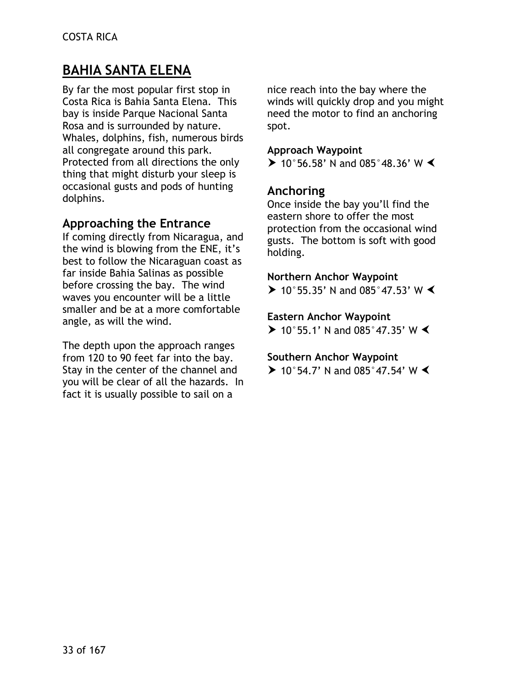# **BAHIA SANTA ELENA**

By far the most popular first stop in Costa Rica is Bahia Santa Elena. This bay is inside Parque Nacional Santa Rosa and is surrounded by nature. Whales, dolphins, fish, numerous birds all congregate around this park. Protected from all directions the only thing that might disturb your sleep is occasional gusts and pods of hunting dolphins.

# **Approaching the Entrance**

If coming directly from Nicaragua, and the wind is blowing from the ENE, it's best to follow the Nicaraguan coast as far inside Bahia Salinas as possible before crossing the bay. The wind waves you encounter will be a little smaller and be at a more comfortable angle, as will the wind.

The depth upon the approach ranges from 120 to 90 feet far into the bay. Stay in the center of the channel and you will be clear of all the hazards. In fact it is usually possible to sail on a

nice reach into the bay where the winds will quickly drop and you might need the motor to find an anchoring spot.

#### **Approach Waypoint**

 $\triangleright$  10°56.58' N and 085°48.36' W  $\triangleleft$ 

### **Anchoring**

Once inside the bay you'll find the eastern shore to offer the most protection from the occasional wind gusts. The bottom is soft with good holding.

#### **Northern Anchor Waypoint**

> 10°55.35' N and 085°47.53' W  $\blacktriangleleft$ 

#### **Eastern Anchor Waypoint**

 $\triangleright$  10°55.1' N and 085°47.35' W  $\triangleleft$ 

#### **Southern Anchor Waypoint**

 $\triangleright$  10°54.7' N and 085°47.54' W  $\triangleleft$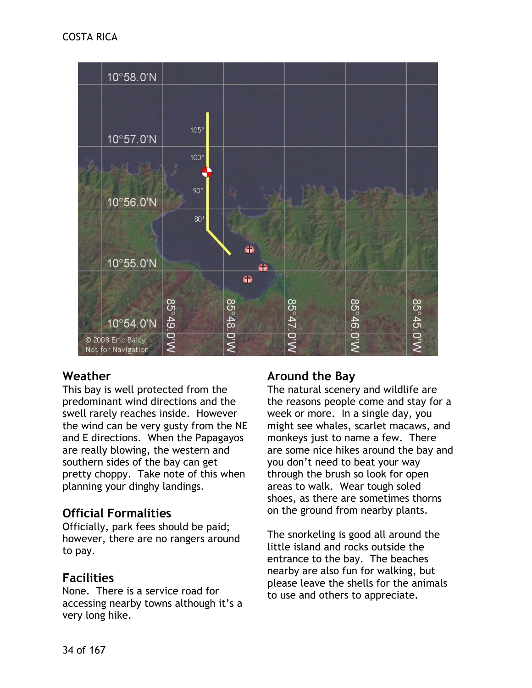

# **Weather**

This bay is well protected from the predominant wind directions and the swell rarely reaches inside. However the wind can be very gusty from the NE and E directions. When the Papagayos are really blowing, the western and southern sides of the bay can get pretty choppy. Take note of this when planning your dinghy landings.

# **Official Formalities**

Officially, park fees should be paid; however, there are no rangers around to pay.

# **Facilities**

None. There is a service road for accessing nearby towns although it's a very long hike.

# **Around the Bay**

The natural scenery and wildlife are the reasons people come and stay for a week or more. In a single day, you might see whales, scarlet macaws, and monkeys just to name a few. There are some nice hikes around the bay and you don't need to beat your way through the brush so look for open areas to walk. Wear tough soled shoes, as there are sometimes thorns on the ground from nearby plants.

The snorkeling is good all around the little island and rocks outside the entrance to the bay. The beaches nearby are also fun for walking, but please leave the shells for the animals to use and others to appreciate.